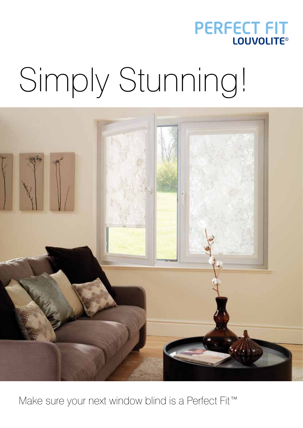

# Simply Stunning!



Make sure your next window blind is a Perfect Fit™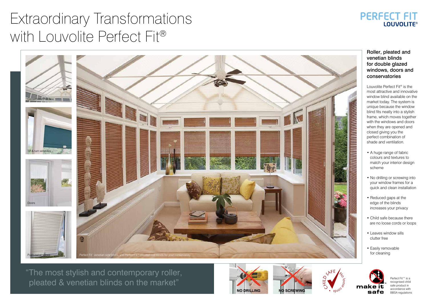

## Extraordinary Transformations with Louvolite Perfect Fit®



### **PERFECT FIT LOUVOLITE®**

"The most stylish and contemporary roller, pleated & venetian blinds on the market"

#### Roller, pleated and venetian blinds for double glazed windows, doors and conservatories

Louvolite Perfect Fit® is the most attractive and innovative window blind available on the market today. The system is unique because the window blind fits neatly into a stylish frame, which moves together with the windows and doors when they are opened and closed giving you the perfect combination of shade and ventilation.

- A huge range of fabric colours and textures to match your interior design scheme
- No drilling or screwing into your window frames for a quick and clean installation
- Reduced gaps at the edge of the blinds increases your privacy
- Child safe because there are no loose cords or loops
- Leaves window sills clutter free
- Easily removable for cleaning







Perfect Fit™ is a recognised child safe product in accordance with BBSA regulations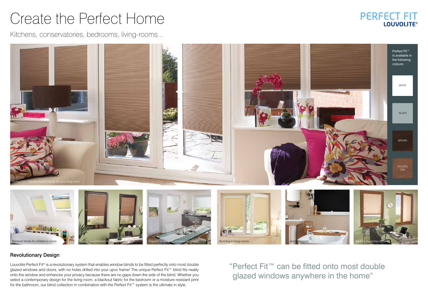### Create the Perfect Home

Kitchens, conservatories, bedrooms, living-rooms...

"Perfect Fit™ can be fitted onto most double glazed windows anywhere in the home"

### **PERFECT FIT LOUVOLITE®**

Louvolite Perfect Fit<sup>®</sup> is a revolutionary system that enables window blinds to be fitted perfectly onto most double glazed windows and doors, with no holes drilled into your upvc frame! The unique Perfect Fit™ blind fits neatly onto the window and enhances your privacy because there are no gaps down the side of the blind. Whether you select a contemporary design for the living room, a blackout fabric for the bedroom or a moisture resistant print for the bathroom, our blind collection in combination with the Perfect Fit™ system is the ultimate in style.

#### Revolutionary Design

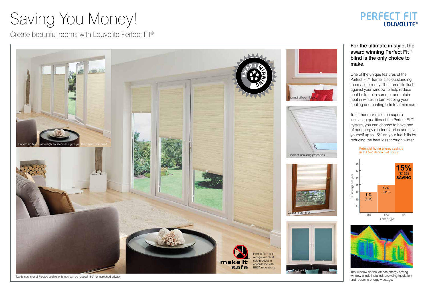## Saving You Money!

Create beautiful rooms with Louvolite Perfect Fit®

#### For the ultimate in style, the award winning Perfect Fit™ blind is the only choice to make.

One of the unique features of the Perfect Fit<sup>™</sup> frame is its outstanding thermal efficiency. The frame fits flush against your window to help reduce heat build up in summer and retain heat in winter, in turn keeping your cooling and heating bills to a minimum!



To further maximise the superb insulating qualities of the Perfect Fit™ system, you can choose to have one of our energy efficient fabrics and save yourself up to 15% on your fuel bills by reducing the heat loss through winter.

Two blinds in one! Pleated and roller blinds can be rotated 180° for increased privacy

### **PERFECT FIT LOUVOLITE®**



Potential home energy savings in a 3 bed deteached house



The window on the left has energy saving window blinds installed, providing insulation and reducing energy wastage.